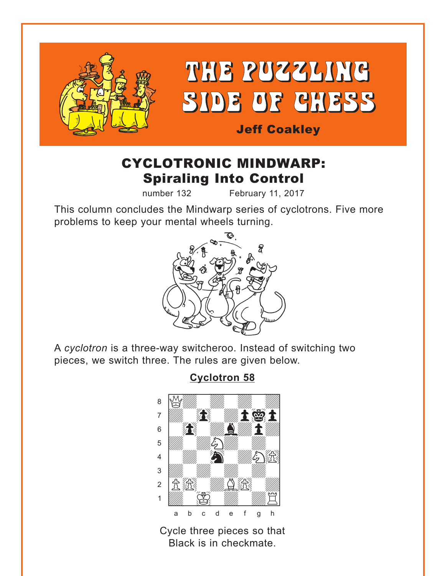<span id="page-0-0"></span>

# CYCLOTRONIC MINDWARP: Spiraling Into Control

number 132 February 11, 2017

This column concludes the Mindwarp series of cyclotrons. Five more problems to keep your mental wheels turning.



A *cyclotron* is a three-way switcheroo. Instead of switching two pieces, we switch three. The rules are given below.

## **[Cyclotron 58](#page-4-0)**



Cycle three pieces so that Black is in checkmate.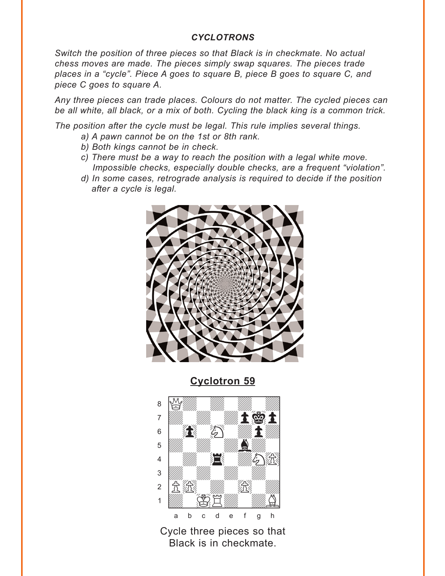#### *CYCLOTRONS*

<span id="page-1-0"></span>*Switch the position of three pieces so that Black is in checkmate. No actual chess moves are made. The pieces simply swap squares. The pieces trade places in a "cycle". Piece A goes to square B, piece B goes to square C, and piece C goes to square A.* 

*Any three pieces can trade places. Colours do not matter. The cycled pieces can be all white, all black, or a mix of both. Cycling the black king is a common trick.* 

*The position after the cycle must be legal. This rule implies several things.* 

- *a) A pawn cannot be on the 1st or 8th rank.*
- *b) Both kings cannot be in check.*
- *c) There must be a way to reach the position with a legal white move. Impossible checks, especially double checks, are a frequent "violation".*
- *d) In some cases, retrograde analysis is required to decide if the position after a cycle is legal.*



**[Cyclotron 59](#page-5-0)**



Cycle three pieces so that Black is in checkmate.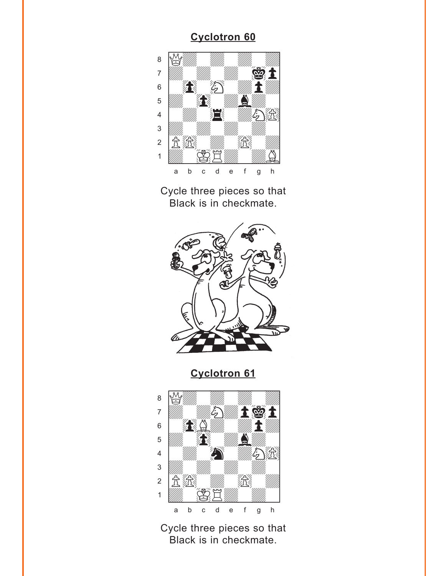<span id="page-2-0"></span>

Cycle three pieces so that Black is in checkmate.



**[Cyclotron 61](#page-6-0)**



Cycle three pieces so that Black is in checkmate.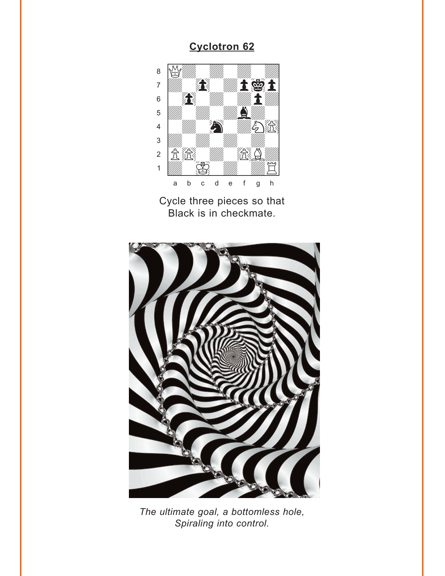<span id="page-3-0"></span>

Cycle three pieces so that Black is in checkmate.



*The ultimate goal, a bottomless hole, Spiraling into control.*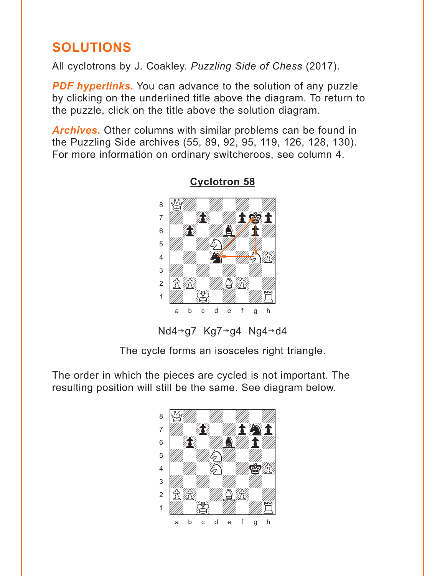# <span id="page-4-0"></span>**SOLUTIONS**

All cyclotrons by J. Coakley. *Puzzling Side of Chess* (2017).

**PDF hyperlinks.** You can advance to the solution of any puzzle by clicking on the underlined title above the diagram. To return to the puzzle, click on the title above the solution diagram.

*Archives***.** Other columns with similar problems can be found in the Puzzling Side archives (55, 89, 92, 95, 119, 126, 128, 130). For more information on ordinary switcheroos, see column 4.



### **[Cyclotron 58](#page-0-0)**

The cycle forms an isosceles right triangle.

The order in which the pieces are cycled is not important. The resulting position will still be the same. See diagram below.

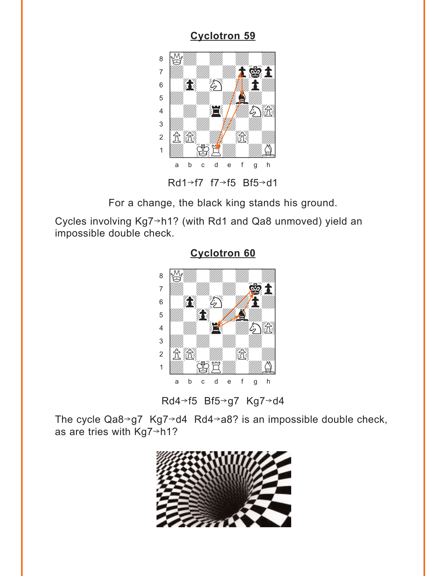<span id="page-5-0"></span>

For a change, the black king stands his ground.

Cycles involving  $Kg7 \rightarrow h1$ ? (with Rd1 and Qa8 unmoved) yield an impossible double check.



**[Cyclotron 60](#page-2-0)**

Rd4→f5 Bf5→g7 Kg7→d4

The cycle  $Qa8 \rightarrow g7 Kg7 \rightarrow d4 Rd4 \rightarrow a8?$  is an impossible double check, as are tries with  $Kg7 \rightarrow h1$ ?